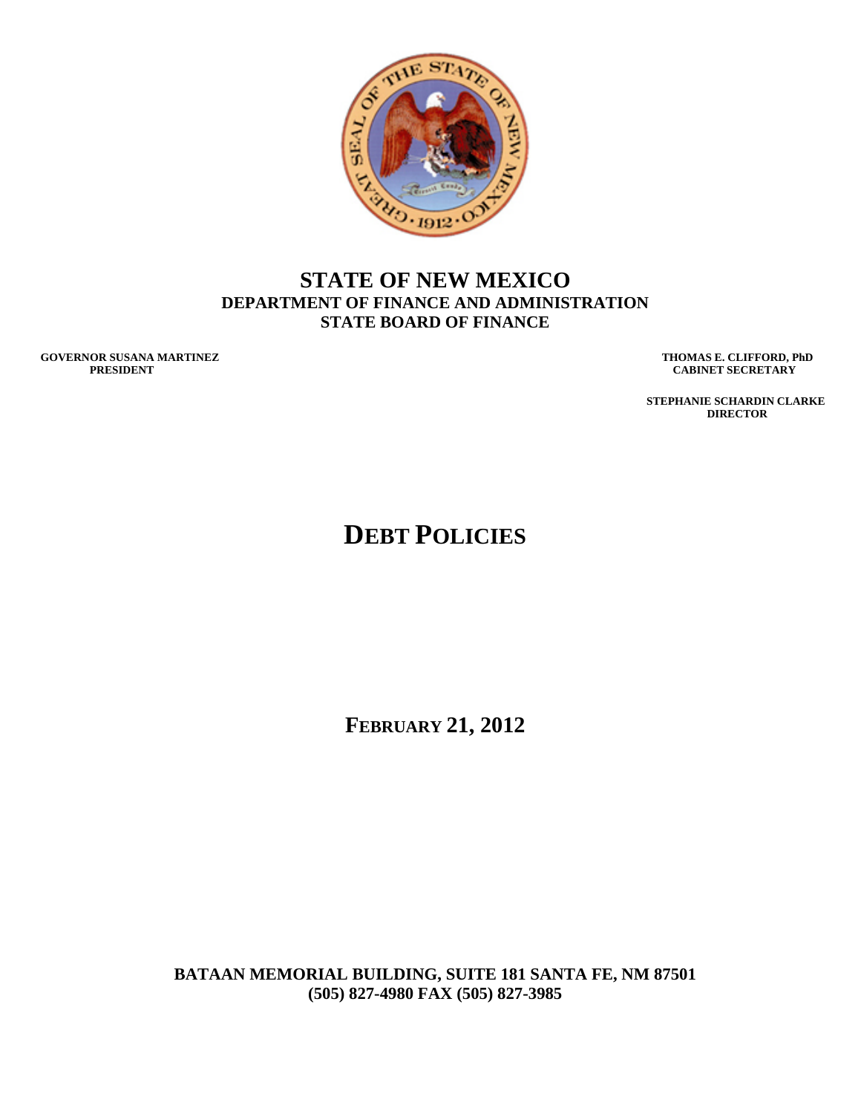

## **STATE OF NEW MEXICO DEPARTMENT OF FINANCE AND ADMINISTRATION STATE BOARD OF FINANCE**

**GOVERNOR SUSANA MARTINEZ THOMAS E. CLIFFORD, PhD**<br>PRESIDENT CABINET SECRETARY

**CABINET SECRETARY** 

 **STEPHANIE SCHARDIN CLARKE DIRECTOR** 

# **DEBT POLICIES**

**FEBRUARY 21, 2012** 

**BATAAN MEMORIAL BUILDING, SUITE 181 SANTA FE, NM 87501 (505) 827-4980 FAX (505) 827-3985**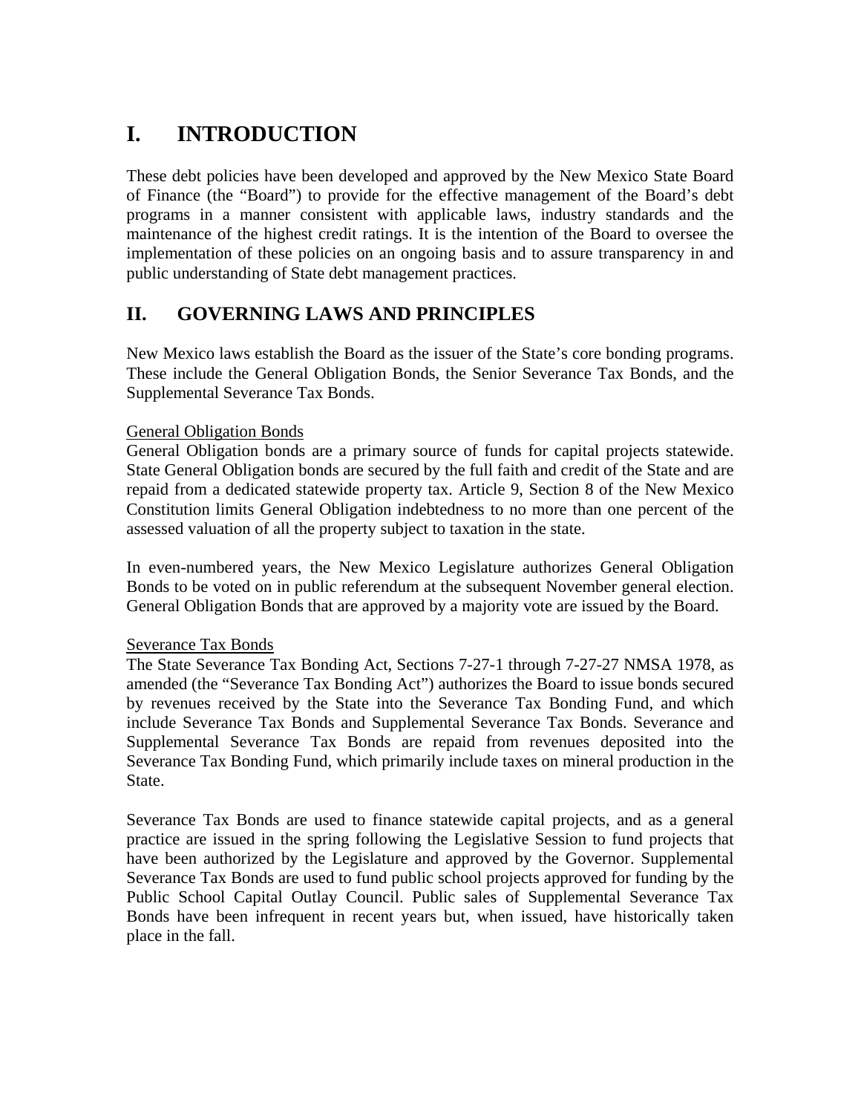# **I. INTRODUCTION**

These debt policies have been developed and approved by the New Mexico State Board of Finance (the "Board") to provide for the effective management of the Board's debt programs in a manner consistent with applicable laws, industry standards and the maintenance of the highest credit ratings. It is the intention of the Board to oversee the implementation of these policies on an ongoing basis and to assure transparency in and public understanding of State debt management practices.

## **II. GOVERNING LAWS AND PRINCIPLES**

New Mexico laws establish the Board as the issuer of the State's core bonding programs. These include the General Obligation Bonds, the Senior Severance Tax Bonds, and the Supplemental Severance Tax Bonds.

#### General Obligation Bonds

General Obligation bonds are a primary source of funds for capital projects statewide. State General Obligation bonds are secured by the full faith and credit of the State and are repaid from a dedicated statewide property tax. Article 9, Section 8 of the New Mexico Constitution limits General Obligation indebtedness to no more than one percent of the assessed valuation of all the property subject to taxation in the state.

In even-numbered years, the New Mexico Legislature authorizes General Obligation Bonds to be voted on in public referendum at the subsequent November general election. General Obligation Bonds that are approved by a majority vote are issued by the Board.

#### Severance Tax Bonds

The State Severance Tax Bonding Act, Sections 7-27-1 through 7-27-27 NMSA 1978, as amended (the "Severance Tax Bonding Act") authorizes the Board to issue bonds secured by revenues received by the State into the Severance Tax Bonding Fund, and which include Severance Tax Bonds and Supplemental Severance Tax Bonds. Severance and Supplemental Severance Tax Bonds are repaid from revenues deposited into the Severance Tax Bonding Fund, which primarily include taxes on mineral production in the State.

Severance Tax Bonds are used to finance statewide capital projects, and as a general practice are issued in the spring following the Legislative Session to fund projects that have been authorized by the Legislature and approved by the Governor. Supplemental Severance Tax Bonds are used to fund public school projects approved for funding by the Public School Capital Outlay Council. Public sales of Supplemental Severance Tax Bonds have been infrequent in recent years but, when issued, have historically taken place in the fall.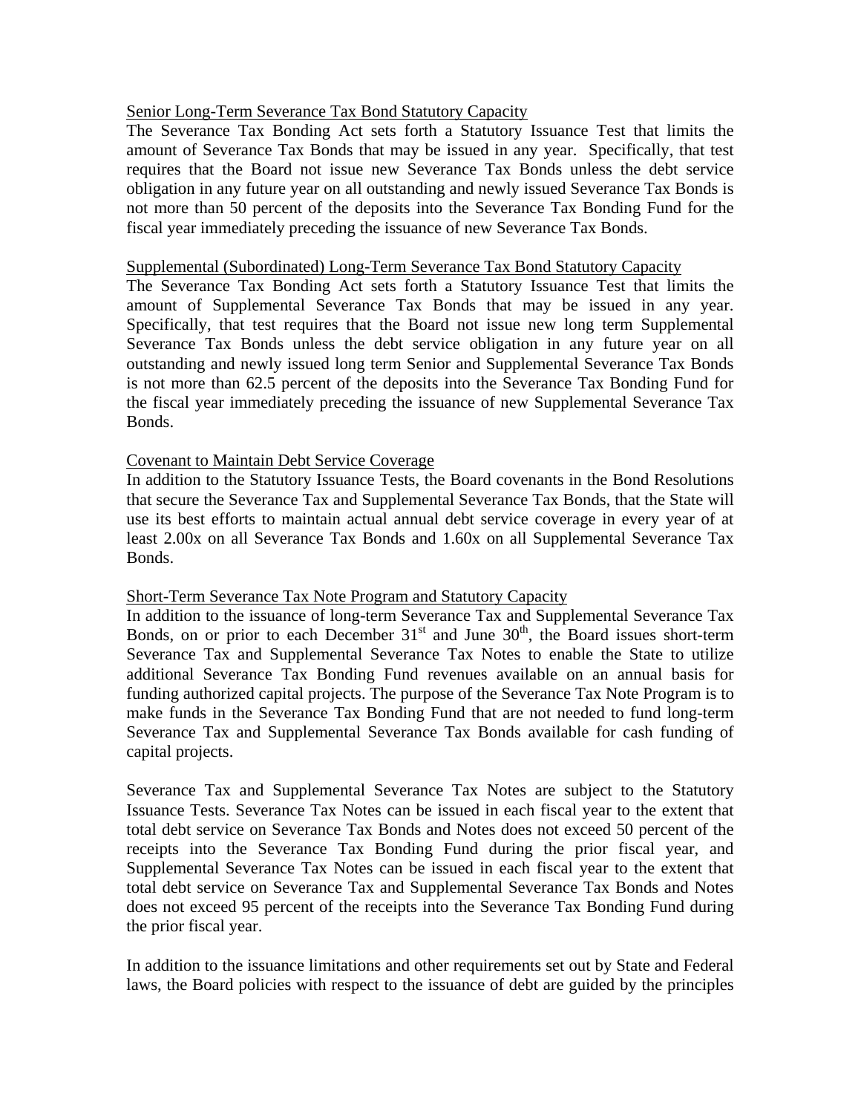#### Senior Long-Term Severance Tax Bond Statutory Capacity

The Severance Tax Bonding Act sets forth a Statutory Issuance Test that limits the amount of Severance Tax Bonds that may be issued in any year. Specifically, that test requires that the Board not issue new Severance Tax Bonds unless the debt service obligation in any future year on all outstanding and newly issued Severance Tax Bonds is not more than 50 percent of the deposits into the Severance Tax Bonding Fund for the fiscal year immediately preceding the issuance of new Severance Tax Bonds.

#### Supplemental (Subordinated) Long-Term Severance Tax Bond Statutory Capacity

The Severance Tax Bonding Act sets forth a Statutory Issuance Test that limits the amount of Supplemental Severance Tax Bonds that may be issued in any year. Specifically, that test requires that the Board not issue new long term Supplemental Severance Tax Bonds unless the debt service obligation in any future year on all outstanding and newly issued long term Senior and Supplemental Severance Tax Bonds is not more than 62.5 percent of the deposits into the Severance Tax Bonding Fund for the fiscal year immediately preceding the issuance of new Supplemental Severance Tax Bonds.

#### Covenant to Maintain Debt Service Coverage

In addition to the Statutory Issuance Tests, the Board covenants in the Bond Resolutions that secure the Severance Tax and Supplemental Severance Tax Bonds, that the State will use its best efforts to maintain actual annual debt service coverage in every year of at least 2.00x on all Severance Tax Bonds and 1.60x on all Supplemental Severance Tax Bonds.

#### Short-Term Severance Tax Note Program and Statutory Capacity

In addition to the issuance of long-term Severance Tax and Supplemental Severance Tax Bonds, on or prior to each December  $31<sup>st</sup>$  and June  $30<sup>th</sup>$ , the Board issues short-term Severance Tax and Supplemental Severance Tax Notes to enable the State to utilize additional Severance Tax Bonding Fund revenues available on an annual basis for funding authorized capital projects. The purpose of the Severance Tax Note Program is to make funds in the Severance Tax Bonding Fund that are not needed to fund long-term Severance Tax and Supplemental Severance Tax Bonds available for cash funding of capital projects.

Severance Tax and Supplemental Severance Tax Notes are subject to the Statutory Issuance Tests. Severance Tax Notes can be issued in each fiscal year to the extent that total debt service on Severance Tax Bonds and Notes does not exceed 50 percent of the receipts into the Severance Tax Bonding Fund during the prior fiscal year, and Supplemental Severance Tax Notes can be issued in each fiscal year to the extent that total debt service on Severance Tax and Supplemental Severance Tax Bonds and Notes does not exceed 95 percent of the receipts into the Severance Tax Bonding Fund during the prior fiscal year.

In addition to the issuance limitations and other requirements set out by State and Federal laws, the Board policies with respect to the issuance of debt are guided by the principles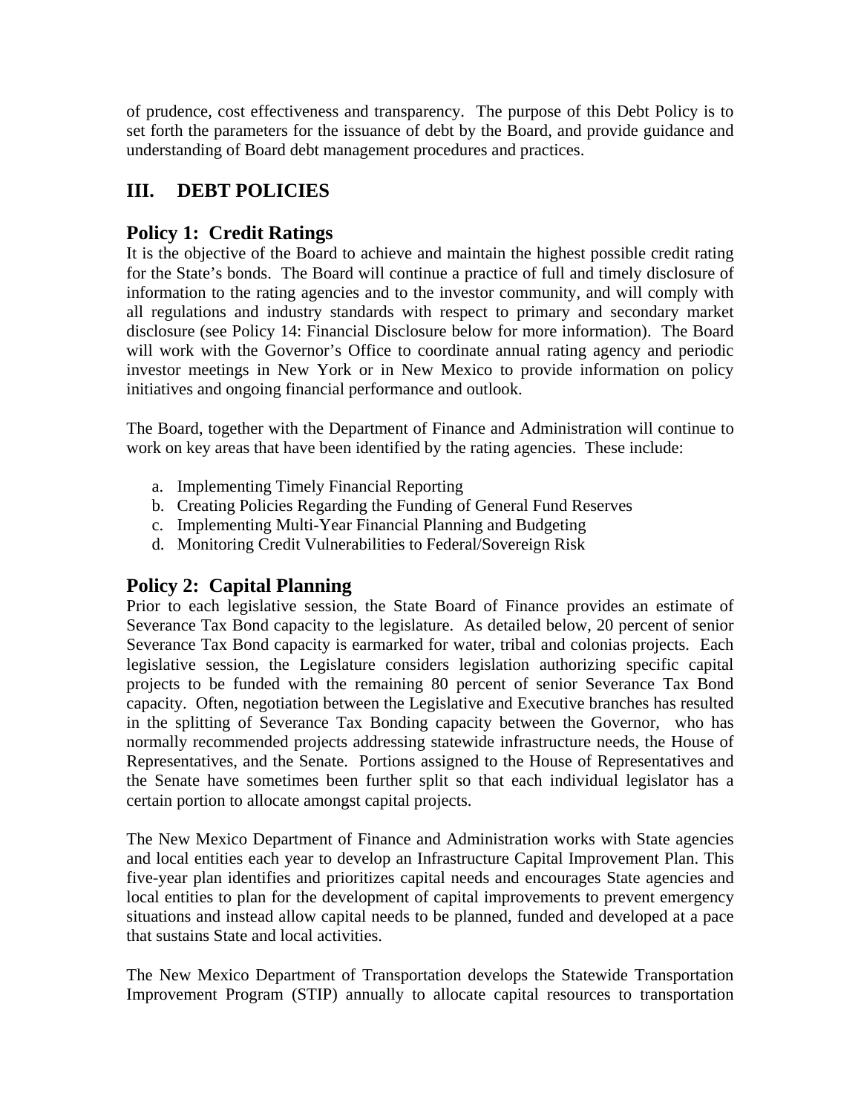of prudence, cost effectiveness and transparency. The purpose of this Debt Policy is to set forth the parameters for the issuance of debt by the Board, and provide guidance and understanding of Board debt management procedures and practices.

## **III. DEBT POLICIES**

## **Policy 1: Credit Ratings**

It is the objective of the Board to achieve and maintain the highest possible credit rating for the State's bonds. The Board will continue a practice of full and timely disclosure of information to the rating agencies and to the investor community, and will comply with all regulations and industry standards with respect to primary and secondary market disclosure (see Policy 14: Financial Disclosure below for more information). The Board will work with the Governor's Office to coordinate annual rating agency and periodic investor meetings in New York or in New Mexico to provide information on policy initiatives and ongoing financial performance and outlook.

The Board, together with the Department of Finance and Administration will continue to work on key areas that have been identified by the rating agencies. These include:

- a. Implementing Timely Financial Reporting
- b. Creating Policies Regarding the Funding of General Fund Reserves
- c. Implementing Multi-Year Financial Planning and Budgeting
- d. Monitoring Credit Vulnerabilities to Federal/Sovereign Risk

## **Policy 2: Capital Planning**

Prior to each legislative session, the State Board of Finance provides an estimate of Severance Tax Bond capacity to the legislature. As detailed below, 20 percent of senior Severance Tax Bond capacity is earmarked for water, tribal and colonias projects. Each legislative session, the Legislature considers legislation authorizing specific capital projects to be funded with the remaining 80 percent of senior Severance Tax Bond capacity. Often, negotiation between the Legislative and Executive branches has resulted in the splitting of Severance Tax Bonding capacity between the Governor, who has normally recommended projects addressing statewide infrastructure needs, the House of Representatives, and the Senate. Portions assigned to the House of Representatives and the Senate have sometimes been further split so that each individual legislator has a certain portion to allocate amongst capital projects.

The New Mexico Department of Finance and Administration works with State agencies and local entities each year to develop an Infrastructure Capital Improvement Plan. This five-year plan identifies and prioritizes capital needs and encourages State agencies and local entities to plan for the development of capital improvements to prevent emergency situations and instead allow capital needs to be planned, funded and developed at a pace that sustains State and local activities.

The New Mexico Department of Transportation develops the Statewide Transportation Improvement Program (STIP) annually to allocate capital resources to transportation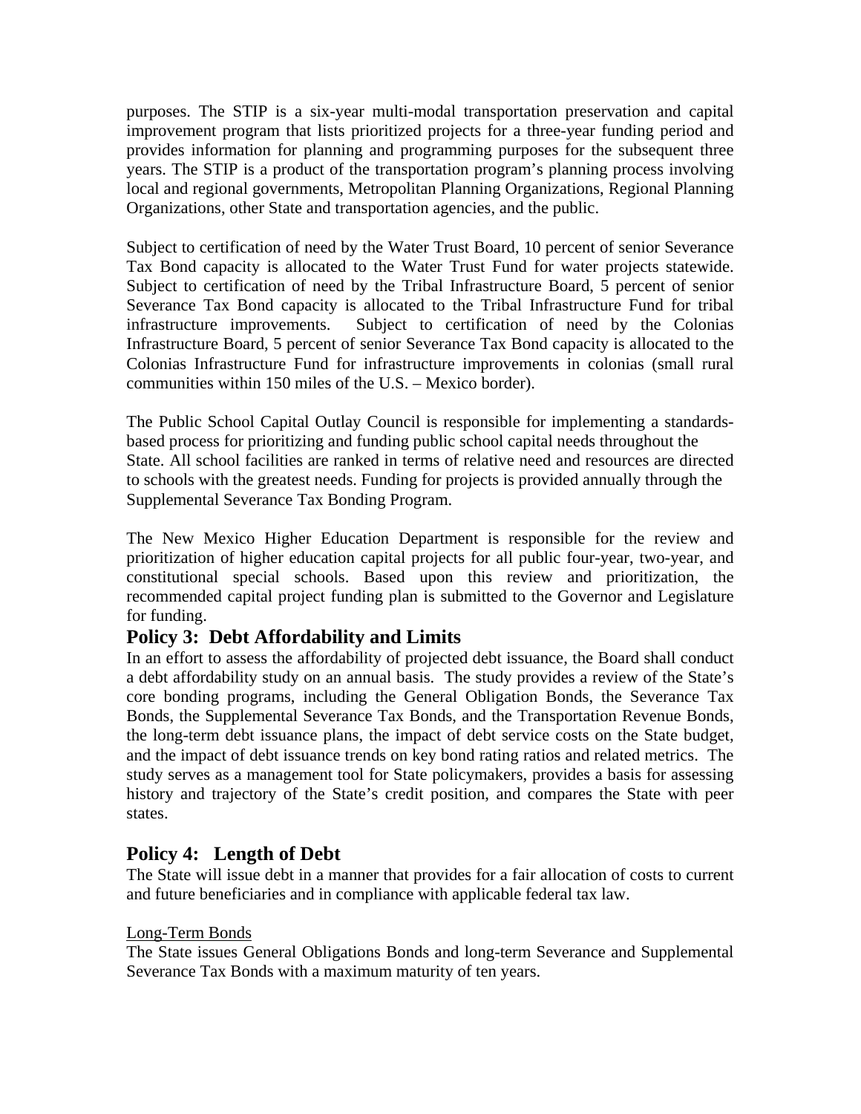purposes. The STIP is a six-year multi-modal transportation preservation and capital improvement program that lists prioritized projects for a three-year funding period and provides information for planning and programming purposes for the subsequent three years. The STIP is a product of the transportation program's planning process involving local and regional governments, Metropolitan Planning Organizations, Regional Planning Organizations, other State and transportation agencies, and the public.

Subject to certification of need by the Water Trust Board, 10 percent of senior Severance Tax Bond capacity is allocated to the Water Trust Fund for water projects statewide. Subject to certification of need by the Tribal Infrastructure Board, 5 percent of senior Severance Tax Bond capacity is allocated to the Tribal Infrastructure Fund for tribal infrastructure improvements. Subject to certification of need by the Colonias Infrastructure Board, 5 percent of senior Severance Tax Bond capacity is allocated to the Colonias Infrastructure Fund for infrastructure improvements in colonias (small rural communities within 150 miles of the U.S. – Mexico border).

The Public School Capital Outlay Council is responsible for implementing a standardsbased process for prioritizing and funding public school capital needs throughout the State. All school facilities are ranked in terms of relative need and resources are directed to schools with the greatest needs. Funding for projects is provided annually through the Supplemental Severance Tax Bonding Program.

The New Mexico Higher Education Department is responsible for the review and prioritization of higher education capital projects for all public four-year, two-year, and constitutional special schools. Based upon this review and prioritization, the recommended capital project funding plan is submitted to the Governor and Legislature for funding.

## **Policy 3: Debt Affordability and Limits**

In an effort to assess the affordability of projected debt issuance, the Board shall conduct a debt affordability study on an annual basis. The study provides a review of the State's core bonding programs, including the General Obligation Bonds, the Severance Tax Bonds, the Supplemental Severance Tax Bonds, and the Transportation Revenue Bonds, the long-term debt issuance plans, the impact of debt service costs on the State budget, and the impact of debt issuance trends on key bond rating ratios and related metrics. The study serves as a management tool for State policymakers, provides a basis for assessing history and trajectory of the State's credit position, and compares the State with peer states.

## **Policy 4: Length of Debt**

The State will issue debt in a manner that provides for a fair allocation of costs to current and future beneficiaries and in compliance with applicable federal tax law.

#### Long-Term Bonds

The State issues General Obligations Bonds and long-term Severance and Supplemental Severance Tax Bonds with a maximum maturity of ten years.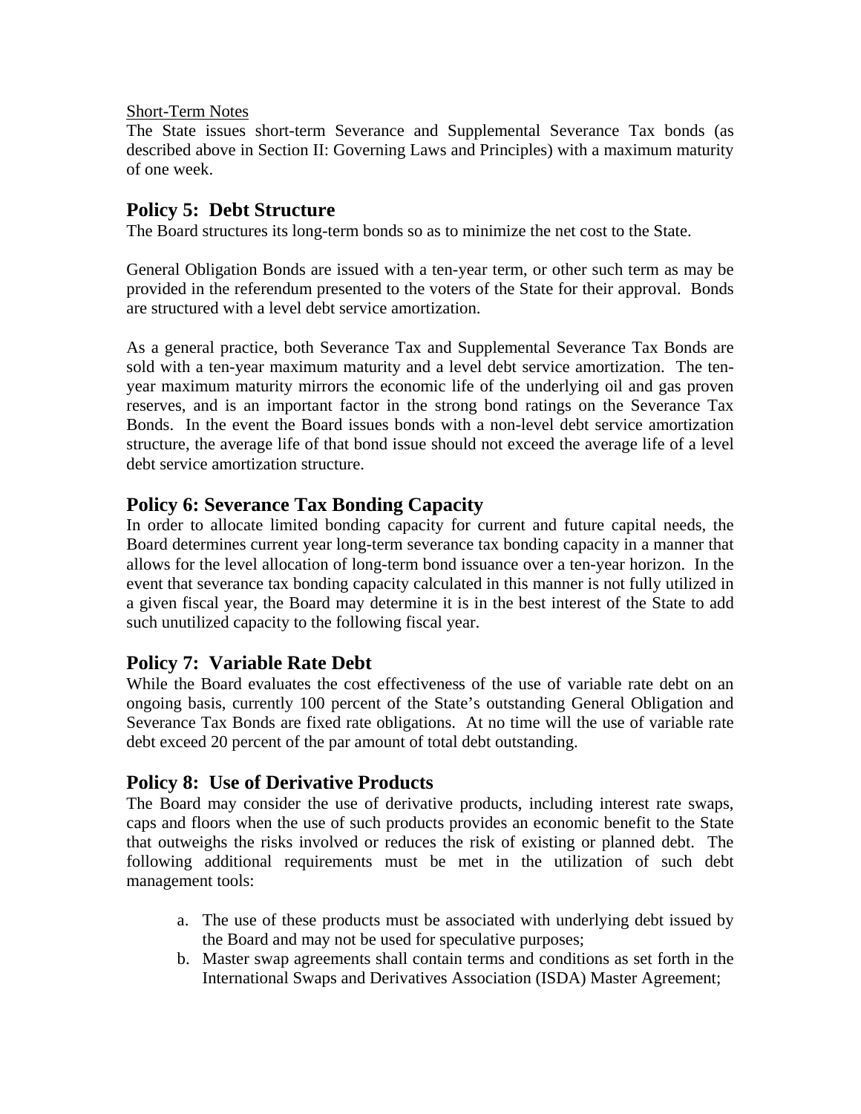#### Short-Term Notes

The State issues short-term Severance and Supplemental Severance Tax bonds (as described above in Section II: Governing Laws and Principles) with a maximum maturity of one week.

## **Policy 5: Debt Structure**

The Board structures its long-term bonds so as to minimize the net cost to the State.

General Obligation Bonds are issued with a ten-year term, or other such term as may be provided in the referendum presented to the voters of the State for their approval. Bonds are structured with a level debt service amortization.

As a general practice, both Severance Tax and Supplemental Severance Tax Bonds are sold with a ten-year maximum maturity and a level debt service amortization. The tenyear maximum maturity mirrors the economic life of the underlying oil and gas proven reserves, and is an important factor in the strong bond ratings on the Severance Tax Bonds. In the event the Board issues bonds with a non-level debt service amortization structure, the average life of that bond issue should not exceed the average life of a level debt service amortization structure.

## **Policy 6: Severance Tax Bonding Capacity**

In order to allocate limited bonding capacity for current and future capital needs, the Board determines current year long-term severance tax bonding capacity in a manner that allows for the level allocation of long-term bond issuance over a ten-year horizon. In the event that severance tax bonding capacity calculated in this manner is not fully utilized in a given fiscal year, the Board may determine it is in the best interest of the State to add such unutilized capacity to the following fiscal year.

## **Policy 7: Variable Rate Debt**

While the Board evaluates the cost effectiveness of the use of variable rate debt on an ongoing basis, currently 100 percent of the State's outstanding General Obligation and Severance Tax Bonds are fixed rate obligations. At no time will the use of variable rate debt exceed 20 percent of the par amount of total debt outstanding.

## **Policy 8: Use of Derivative Products**

The Board may consider the use of derivative products, including interest rate swaps, caps and floors when the use of such products provides an economic benefit to the State that outweighs the risks involved or reduces the risk of existing or planned debt. The following additional requirements must be met in the utilization of such debt management tools:

- a. The use of these products must be associated with underlying debt issued by the Board and may not be used for speculative purposes;
- b. Master swap agreements shall contain terms and conditions as set forth in the International Swaps and Derivatives Association (ISDA) Master Agreement;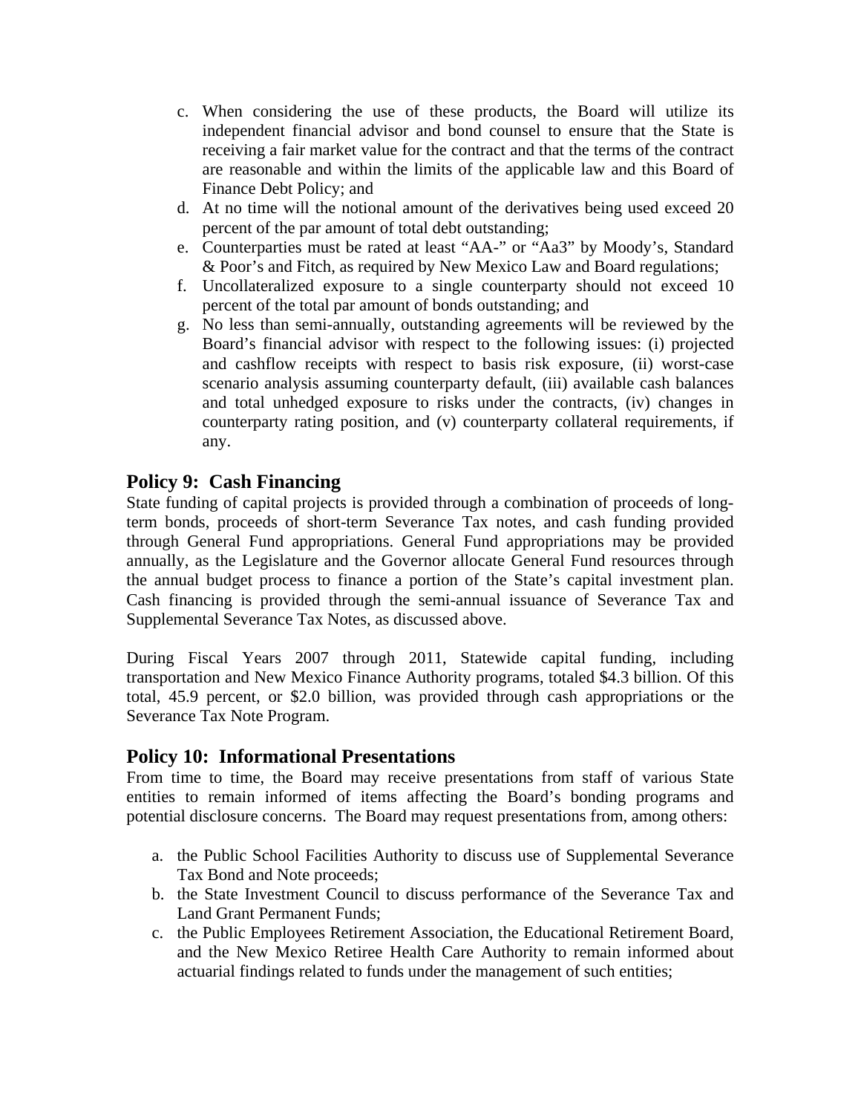- c. When considering the use of these products, the Board will utilize its independent financial advisor and bond counsel to ensure that the State is receiving a fair market value for the contract and that the terms of the contract are reasonable and within the limits of the applicable law and this Board of Finance Debt Policy; and
- d. At no time will the notional amount of the derivatives being used exceed 20 percent of the par amount of total debt outstanding;
- e. Counterparties must be rated at least "AA-" or "Aa3" by Moody's, Standard & Poor's and Fitch, as required by New Mexico Law and Board regulations;
- f. Uncollateralized exposure to a single counterparty should not exceed 10 percent of the total par amount of bonds outstanding; and
- g. No less than semi-annually, outstanding agreements will be reviewed by the Board's financial advisor with respect to the following issues: (i) projected and cashflow receipts with respect to basis risk exposure, (ii) worst-case scenario analysis assuming counterparty default, (iii) available cash balances and total unhedged exposure to risks under the contracts, (iv) changes in counterparty rating position, and (v) counterparty collateral requirements, if any.

## **Policy 9: Cash Financing**

State funding of capital projects is provided through a combination of proceeds of longterm bonds, proceeds of short-term Severance Tax notes, and cash funding provided through General Fund appropriations. General Fund appropriations may be provided annually, as the Legislature and the Governor allocate General Fund resources through the annual budget process to finance a portion of the State's capital investment plan. Cash financing is provided through the semi-annual issuance of Severance Tax and Supplemental Severance Tax Notes, as discussed above.

During Fiscal Years 2007 through 2011, Statewide capital funding, including transportation and New Mexico Finance Authority programs, totaled \$4.3 billion. Of this total, 45.9 percent, or \$2.0 billion, was provided through cash appropriations or the Severance Tax Note Program.

## **Policy 10: Informational Presentations**

From time to time, the Board may receive presentations from staff of various State entities to remain informed of items affecting the Board's bonding programs and potential disclosure concerns. The Board may request presentations from, among others:

- a. the Public School Facilities Authority to discuss use of Supplemental Severance Tax Bond and Note proceeds;
- b. the State Investment Council to discuss performance of the Severance Tax and Land Grant Permanent Funds;
- c. the Public Employees Retirement Association, the Educational Retirement Board, and the New Mexico Retiree Health Care Authority to remain informed about actuarial findings related to funds under the management of such entities;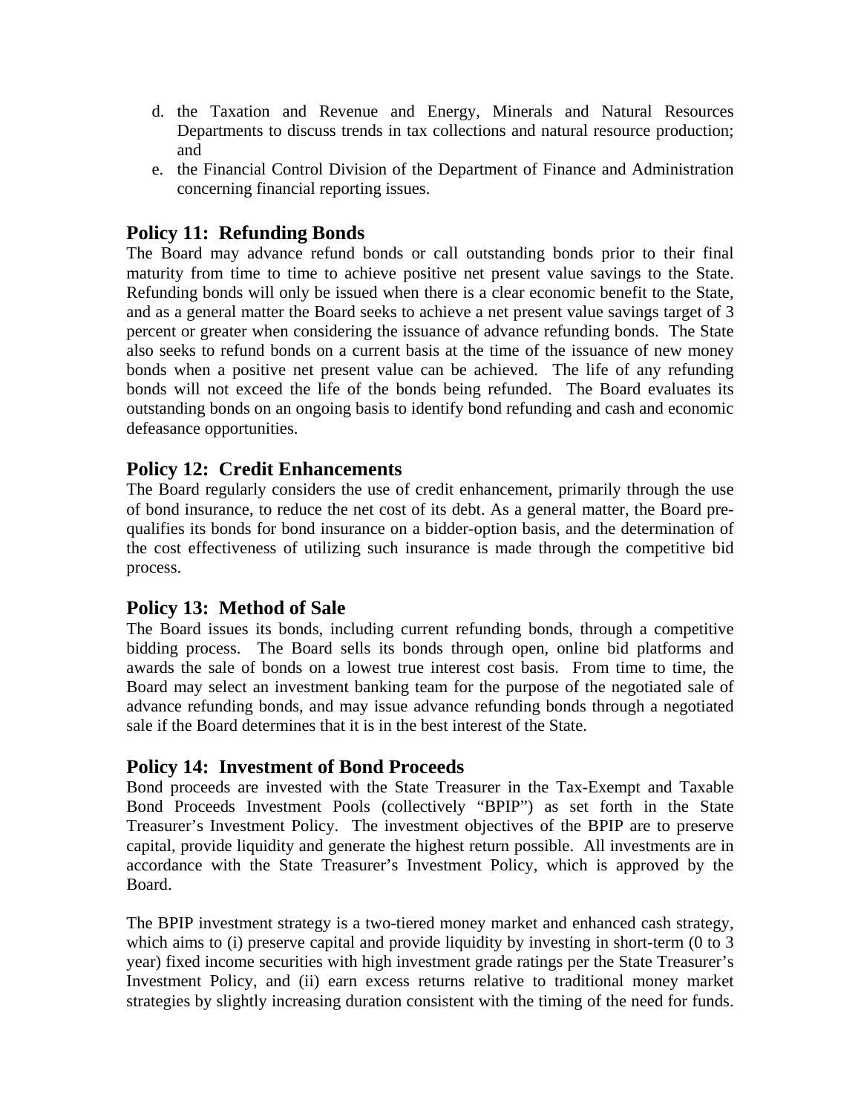- d. the Taxation and Revenue and Energy, Minerals and Natural Resources Departments to discuss trends in tax collections and natural resource production; and
- e. the Financial Control Division of the Department of Finance and Administration concerning financial reporting issues.

## **Policy 11: Refunding Bonds**

The Board may advance refund bonds or call outstanding bonds prior to their final maturity from time to time to achieve positive net present value savings to the State. Refunding bonds will only be issued when there is a clear economic benefit to the State, and as a general matter the Board seeks to achieve a net present value savings target of 3 percent or greater when considering the issuance of advance refunding bonds. The State also seeks to refund bonds on a current basis at the time of the issuance of new money bonds when a positive net present value can be achieved. The life of any refunding bonds will not exceed the life of the bonds being refunded. The Board evaluates its outstanding bonds on an ongoing basis to identify bond refunding and cash and economic defeasance opportunities.

## **Policy 12: Credit Enhancements**

The Board regularly considers the use of credit enhancement, primarily through the use of bond insurance, to reduce the net cost of its debt. As a general matter, the Board prequalifies its bonds for bond insurance on a bidder-option basis, and the determination of the cost effectiveness of utilizing such insurance is made through the competitive bid process.

## **Policy 13: Method of Sale**

The Board issues its bonds, including current refunding bonds, through a competitive bidding process. The Board sells its bonds through open, online bid platforms and awards the sale of bonds on a lowest true interest cost basis. From time to time, the Board may select an investment banking team for the purpose of the negotiated sale of advance refunding bonds, and may issue advance refunding bonds through a negotiated sale if the Board determines that it is in the best interest of the State.

## **Policy 14: Investment of Bond Proceeds**

Bond proceeds are invested with the State Treasurer in the Tax-Exempt and Taxable Bond Proceeds Investment Pools (collectively "BPIP") as set forth in the State Treasurer's Investment Policy. The investment objectives of the BPIP are to preserve capital, provide liquidity and generate the highest return possible. All investments are in accordance with the State Treasurer's Investment Policy, which is approved by the Board.

The BPIP investment strategy is a two-tiered money market and enhanced cash strategy, which aims to (i) preserve capital and provide liquidity by investing in short-term (0 to 3 year) fixed income securities with high investment grade ratings per the State Treasurer's Investment Policy, and (ii) earn excess returns relative to traditional money market strategies by slightly increasing duration consistent with the timing of the need for funds.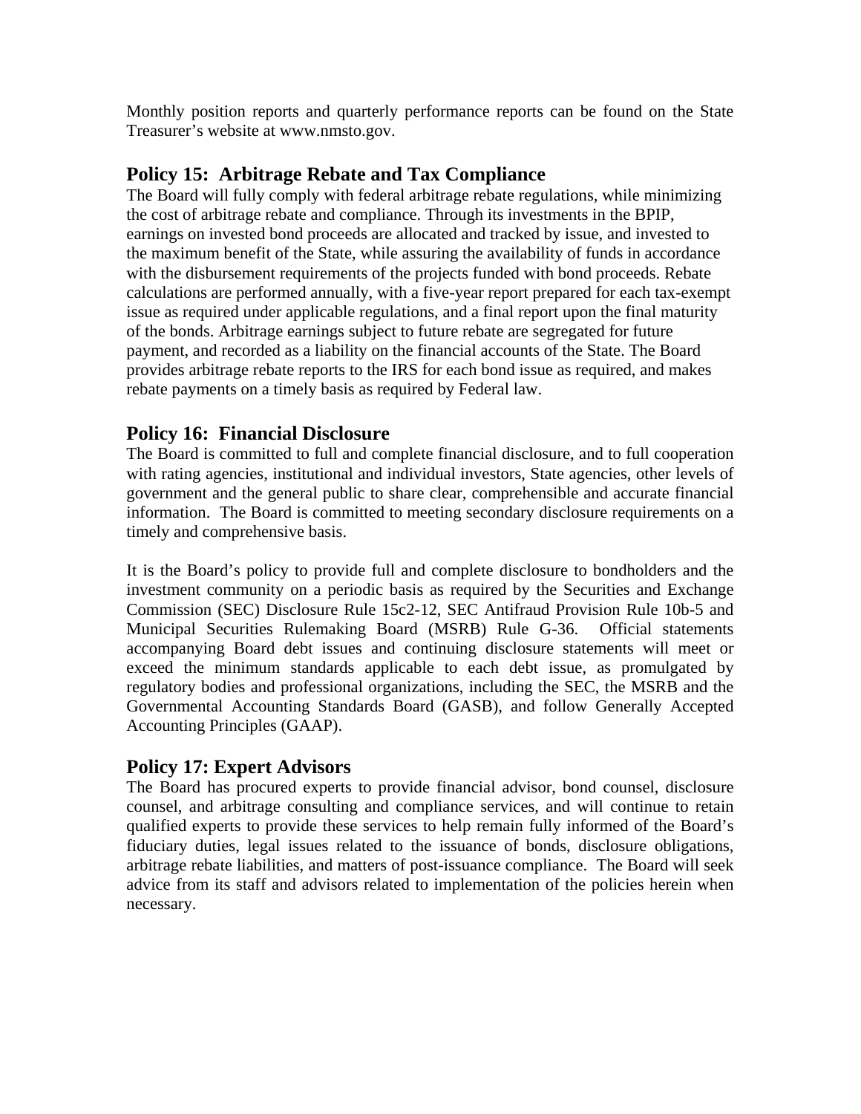Monthly position reports and quarterly performance reports can be found on the State Treasurer's website at www.nmsto.gov.

## **Policy 15: Arbitrage Rebate and Tax Compliance**

The Board will fully comply with federal arbitrage rebate regulations, while minimizing the cost of arbitrage rebate and compliance. Through its investments in the BPIP, earnings on invested bond proceeds are allocated and tracked by issue, and invested to the maximum benefit of the State, while assuring the availability of funds in accordance with the disbursement requirements of the projects funded with bond proceeds. Rebate calculations are performed annually, with a five-year report prepared for each tax-exempt issue as required under applicable regulations, and a final report upon the final maturity of the bonds. Arbitrage earnings subject to future rebate are segregated for future payment, and recorded as a liability on the financial accounts of the State. The Board provides arbitrage rebate reports to the IRS for each bond issue as required, and makes rebate payments on a timely basis as required by Federal law.

## **Policy 16: Financial Disclosure**

The Board is committed to full and complete financial disclosure, and to full cooperation with rating agencies, institutional and individual investors, State agencies, other levels of government and the general public to share clear, comprehensible and accurate financial information. The Board is committed to meeting secondary disclosure requirements on a timely and comprehensive basis.

It is the Board's policy to provide full and complete disclosure to bondholders and the investment community on a periodic basis as required by the Securities and Exchange Commission (SEC) Disclosure Rule 15c2-12, SEC Antifraud Provision Rule 10b-5 and Municipal Securities Rulemaking Board (MSRB) Rule G-36. Official statements accompanying Board debt issues and continuing disclosure statements will meet or exceed the minimum standards applicable to each debt issue, as promulgated by regulatory bodies and professional organizations, including the SEC, the MSRB and the Governmental Accounting Standards Board (GASB), and follow Generally Accepted Accounting Principles (GAAP).

## **Policy 17: Expert Advisors**

The Board has procured experts to provide financial advisor, bond counsel, disclosure counsel, and arbitrage consulting and compliance services, and will continue to retain qualified experts to provide these services to help remain fully informed of the Board's fiduciary duties, legal issues related to the issuance of bonds, disclosure obligations, arbitrage rebate liabilities, and matters of post-issuance compliance. The Board will seek advice from its staff and advisors related to implementation of the policies herein when necessary.